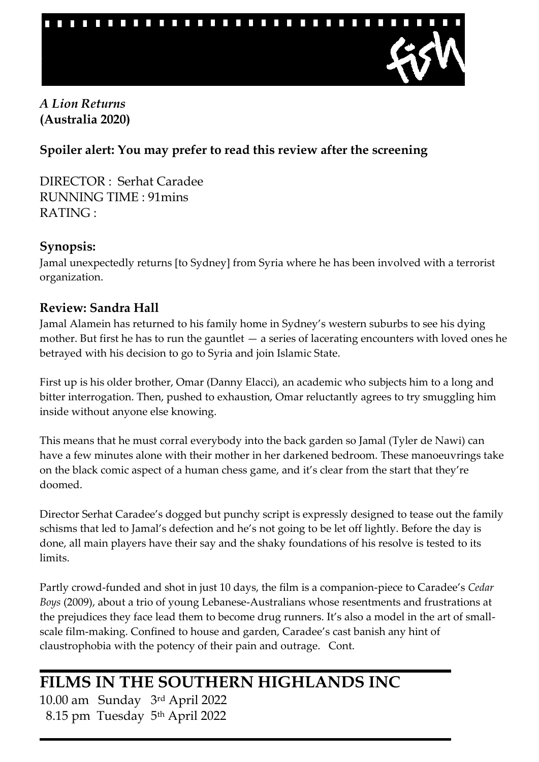

## *A Lion Returns*  **(Australia 2020)**

# **Spoiler alert: You may prefer to read this review after the screening**

DIRECTOR : Serhat Caradee RUNNING TIME : 91mins RATING :

#### **Synopsis:**

Jamal unexpectedly returns [to Sydney] from Syria where he has been involved with a terrorist organization.

## **Review: Sandra Hall**

Jamal Alamein has returned to his family home in Sydney's western suburbs to see his dying mother. But first he has to run the gauntlet  $-$  a series of lacerating encounters with loved ones he betrayed with his decision to go to Syria and join Islamic State.

First up is his older brother, Omar (Danny Elacci), an academic who subjects him to a long and bitter interrogation. Then, pushed to exhaustion, Omar reluctantly agrees to try smuggling him inside without anyone else knowing.

This means that he must corral everybody into the back garden so Jamal (Tyler de Nawi) can have a few minutes alone with their mother in her darkened bedroom. These manoeuvrings take on the black comic aspect of a human chess game, and it's clear from the start that they're doomed.

Director Serhat Caradee's dogged but punchy script is expressly designed to tease out the family schisms that led to Jamal's defection and he's not going to be let off lightly. Before the day is done, all main players have their say and the shaky foundations of his resolve is tested to its limits.

Partly crowd-funded and shot in just 10 days, the film is a companion-piece to Caradee's *Cedar Boys* (2009), about a trio of young Lebanese-Australians whose resentments and frustrations at the prejudices they face lead them to become drug runners. It's also a model in the art of smallscale film-making. Confined to house and garden, Caradee's cast banish any hint of claustrophobia with the potency of their pain and outrage. Cont.

# **FILMS IN THE SOUTHERN HIGHLANDS INC**

10.00 am Sunday 3rd April 2022 8.15 pm Tuesday 5th April 2022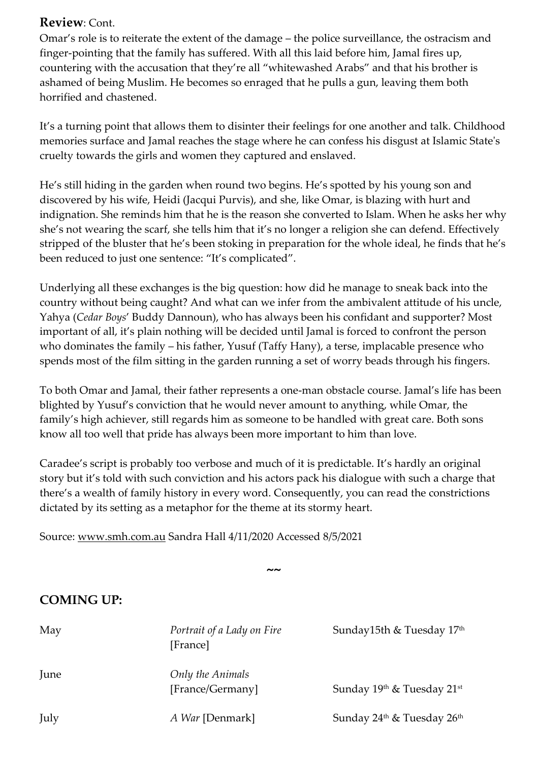#### **Review**: Cont.

Omar's role is to reiterate the extent of the damage – the police surveillance, the ostracism and finger-pointing that the family has suffered. With all this laid before him, Jamal fires up, countering with the accusation that they're all "whitewashed Arabs" and that his brother is ashamed of being Muslim. He becomes so enraged that he pulls a gun, leaving them both horrified and chastened.

It's a turning point that allows them to disinter their feelings for one another and talk. Childhood memories surface and Jamal reaches the stage where he can confess his disgust at Islamic State's cruelty towards the girls and women they captured and enslaved.

He's still hiding in the garden when round two begins. He's spotted by his young son and discovered by his wife, Heidi (Jacqui Purvis), and she, like Omar, is blazing with hurt and indignation. She reminds him that he is the reason she converted to Islam. When he asks her why she's not wearing the scarf, she tells him that it's no longer a religion she can defend. Effectively stripped of the bluster that he's been stoking in preparation for the whole ideal, he finds that he's been reduced to just one sentence: "It's complicated".

Underlying all these exchanges is the big question: how did he manage to sneak back into the country without being caught? And what can we infer from the ambivalent attitude of his uncle, Yahya (*Cedar Boys*' Buddy Dannoun), who has always been his confidant and supporter? Most important of all, it's plain nothing will be decided until Jamal is forced to confront the person who dominates the family – his father, Yusuf (Taffy Hany), a terse, implacable presence who spends most of the film sitting in the garden running a set of worry beads through his fingers.

To both Omar and Jamal, their father represents a one-man obstacle course. Jamal's life has been blighted by Yusuf's conviction that he would never amount to anything, while Omar, the family's high achiever, still regards him as someone to be handled with great care. Both sons know all too well that pride has always been more important to him than love.

Caradee's script is probably too verbose and much of it is predictable. It's hardly an original story but it's told with such conviction and his actors pack his dialogue with such a charge that there's a wealth of family history in every word. Consequently, you can read the constrictions dictated by its setting as a metaphor for the theme at its stormy heart.

Source: [www.smh.com.au](http://www.smh.com.au/) Sandra Hall 4/11/2020 Accessed 8/5/2021

**~~**

# **COMING UP:**

| May  | Portrait of a Lady on Fire<br>[France] | Sunday15th & Tuesday 17 <sup>th</sup> |
|------|----------------------------------------|---------------------------------------|
| June | Only the Animals<br>[France/Germany]   | Sunday 19th & Tuesday 21st            |
| July | A War [Denmark]                        | Sunday $24th$ & Tuesday $26th$        |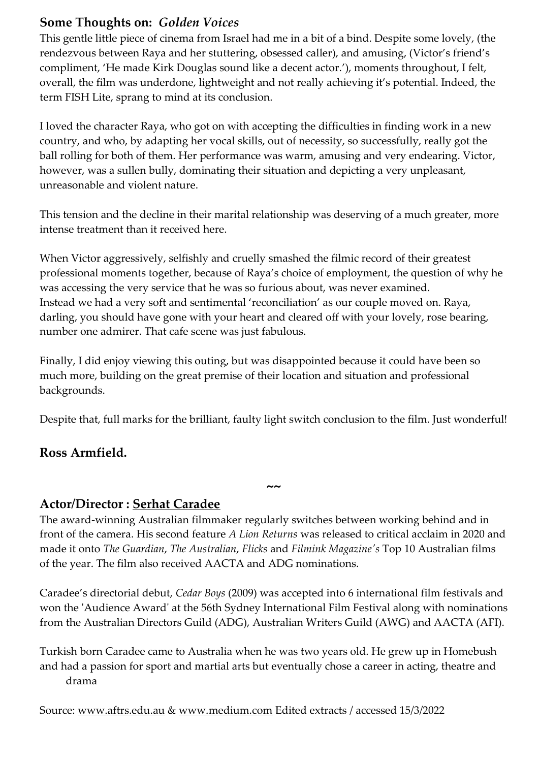## **Some Thoughts on:** *Golden Voices*

This gentle little piece of cinema from Israel had me in a bit of a bind. Despite some lovely, (the rendezvous between Raya and her stuttering, obsessed caller), and amusing, (Victor's friend's compliment, 'He made Kirk Douglas sound like a decent actor.'), moments throughout, I felt, overall, the film was underdone, lightweight and not really achieving it's potential. Indeed, the term FISH Lite, sprang to mind at its conclusion.

I loved the character Raya, who got on with accepting the difficulties in finding work in a new country, and who, by adapting her vocal skills, out of necessity, so successfully, really got the ball rolling for both of them. Her performance was warm, amusing and very endearing. Victor, however, was a sullen bully, dominating their situation and depicting a very unpleasant, unreasonable and violent nature.

This tension and the decline in their marital relationship was deserving of a much greater, more intense treatment than it received here.

When Victor aggressively, selfishly and cruelly smashed the filmic record of their greatest professional moments together, because of Raya's choice of employment, the question of why he was accessing the very service that he was so furious about, was never examined. Instead we had a very soft and sentimental 'reconciliation' as our couple moved on. Raya, darling, you should have gone with your heart and cleared off with your lovely, rose bearing, number one admirer. That cafe scene was just fabulous.

Finally, I did enjoy viewing this outing, but was disappointed because it could have been so much more, building on the great premise of their location and situation and professional backgrounds.

Despite that, full marks for the brilliant, faulty light switch conclusion to the film. Just wonderful!

#### **Ross Armfield.**

#### **Actor/Director : [Serhat Caradee](https://www.imdb.com/name/nm1313865/?ref_=nmbio_bio_nm)**

The award-winning Australian filmmaker regularly switches between working behind and in front of the camera. His second feature *[A Lion Returns](https://www.imdb.com/title/tt7034644?ref_=nmbio_mbio)* was released to critical acclaim in 2020 and made it onto *The Guardian*, *The Australian*, *Flicks* and *Filmink Magazine's* Top 10 Australian films of the year. The film also received AACTA and ADG nominations.

**~~**

Caradee's directorial debut, *[Cedar Boys](https://www.imdb.com/title/tt1229345?ref_=nmbio_mbio)* (2009) was accepted into 6 international film festivals and won the 'Audience Award' at the 56th Sydney International Film Festival along with nominations from the Australian Directors Guild (ADG), Australian Writers Guild (AWG) and AACTA (AFI).

Turkish born Caradee came to Australia when he was two years old. He grew up in Homebush and had a passion for sport and martial arts but eventually chose a career in acting, theatre and drama

Source: [www.aftrs.edu.au](http://www.aftrs.edu.au/) & [www.medium.com](http://www.medium.com/) Edited extracts / accessed 15/3/2022